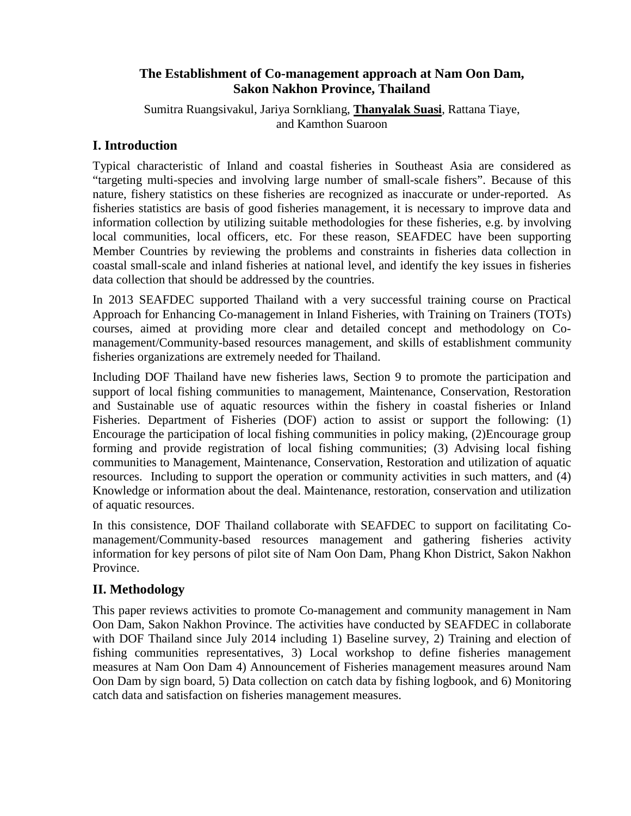# **The Establishment of Co-management approach at Nam Oon Dam, Sakon Nakhon Province, Thailand**

Sumitra Ruangsivakul, Jariya Sornkliang, **Thanyalak Suasi**, Rattana Tiaye, and Kamthon Suaroon

# **I. Introduction**

Typical characteristic of Inland and coastal fisheries in Southeast Asia are considered as "targeting multi-species and involving large number of small-scale fishers". Because of this nature, fishery statistics on these fisheries are recognized as inaccurate or under-reported. As fisheries statistics are basis of good fisheries management, it is necessary to improve data and information collection by utilizing suitable methodologies for these fisheries, e.g. by involving local communities, local officers, etc. For these reason, SEAFDEC have been supporting Member Countries by reviewing the problems and constraints in fisheries data collection in coastal small-scale and inland fisheries at national level, and identify the key issues in fisheries data collection that should be addressed by the countries.

In 2013 SEAFDEC supported Thailand with a very successful training course on Practical Approach for Enhancing Co-management in Inland Fisheries, with Training on Trainers (TOTs) courses, aimed at providing more clear and detailed concept and methodology on Comanagement/Community-based resources management, and skills of establishment community fisheries organizations are extremely needed for Thailand.

Including DOF Thailand have new fisheries laws, Section 9 to promote the participation and support of local fishing communities to management, Maintenance, Conservation, Restoration and Sustainable use of aquatic resources within the fishery in coastal fisheries or Inland Fisheries. Department of Fisheries (DOF) action to assist or support the following: (1) Encourage the participation of local fishing communities in policy making, (2)Encourage group forming and provide registration of local fishing communities; (3) Advising local fishing communities to Management, Maintenance, Conservation, Restoration and utilization of aquatic resources. Including to support the operation or community activities in such matters, and (4) Knowledge or information about the deal. Maintenance, restoration, conservation and utilization of aquatic resources.

In this consistence, DOF Thailand collaborate with SEAFDEC to support on facilitating Comanagement/Community-based resources management and gathering fisheries activity information for key persons of pilot site of Nam Oon Dam, Phang Khon District, Sakon Nakhon Province.

# **II. Methodology**

This paper reviews activities to promote Co-management and community management in Nam Oon Dam, Sakon Nakhon Province. The activities have conducted by SEAFDEC in collaborate with DOF Thailand since July 2014 including 1) Baseline survey, 2) Training and election of fishing communities representatives, 3) Local workshop to define fisheries management measures at Nam Oon Dam 4) Announcement of Fisheries management measures around Nam Oon Dam by sign board, 5) Data collection on catch data by fishing logbook, and 6) Monitoring catch data and satisfaction on fisheries management measures.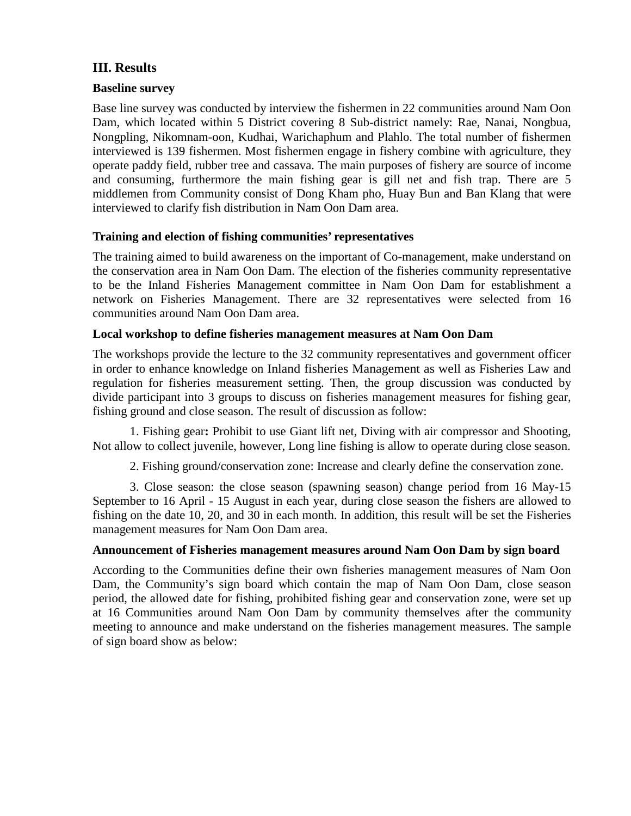## **III. Results**

#### **Baseline survey**

Base line survey was conducted by interview the fishermen in 22 communities around Nam Oon Dam, which located within 5 District covering 8 Sub-district namely: Rae, Nanai, Nongbua, Nongpling, Nikomnam-oon, Kudhai, Warichaphum and Plahlo. The total number of fishermen interviewed is 139 fishermen. Most fishermen engage in fishery combine with agriculture, they operate paddy field, rubber tree and cassava. The main purposes of fishery are source of income and consuming, furthermore the main fishing gear is gill net and fish trap. There are 5 middlemen from Community consist of Dong Kham pho, Huay Bun and Ban Klang that were interviewed to clarify fish distribution in Nam Oon Dam area.

## **Training and election of fishing communities' representatives**

The training aimed to build awareness on the important of Co-management, make understand on the conservation area in Nam Oon Dam. The election of the fisheries community representative to be the Inland Fisheries Management committee in Nam Oon Dam for establishment a network on Fisheries Management. There are 32 representatives were selected from 16 communities around Nam Oon Dam area.

## **Local workshop to define fisheries management measures at Nam Oon Dam**

The workshops provide the lecture to the 32 community representatives and government officer in order to enhance knowledge on Inland fisheries Management as well as Fisheries Law and regulation for fisheries measurement setting. Then, the group discussion was conducted by divide participant into 3 groups to discuss on fisheries management measures for fishing gear, fishing ground and close season. The result of discussion as follow:

1. Fishing gear**:** Prohibit to use Giant lift net, Diving with air compressor and Shooting, Not allow to collect juvenile, however, Long line fishing is allow to operate during close season.

2. Fishing ground/conservation zone: Increase and clearly define the conservation zone.

3. Close season: the close season (spawning season) change period from 16 May-15 September to 16 April - 15 August in each year, during close season the fishers are allowed to fishing on the date 10, 20, and 30 in each month. In addition, this result will be set the Fisheries management measures for Nam Oon Dam area.

#### **Announcement of Fisheries management measures around Nam Oon Dam by sign board**

According to the Communities define their own fisheries management measures of Nam Oon Dam, the Community's sign board which contain the map of Nam Oon Dam, close season period, the allowed date for fishing, prohibited fishing gear and conservation zone, were set up at 16 Communities around Nam Oon Dam by community themselves after the community meeting to announce and make understand on the fisheries management measures. The sample of sign board show as below: